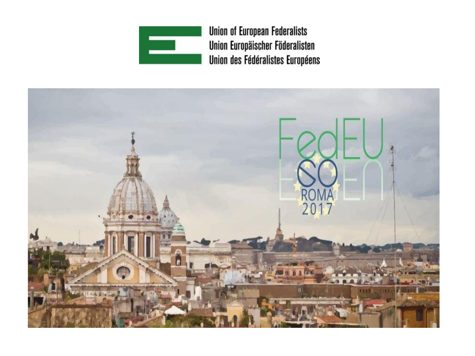

**Union of European Federalists** Union Europäischer Föderalisten Union des Fédéralistes Européens

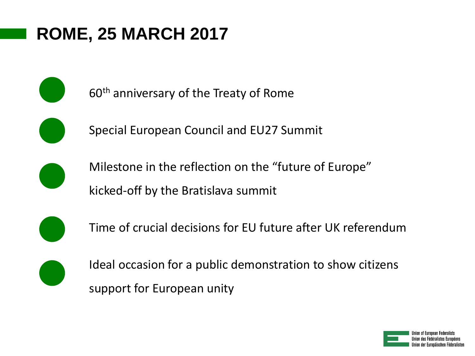60<sup>th</sup> anniversary of the Treaty of Rome



Special European Council and EU27 Summit



Milestone in the reflection on the "future of Europe" kicked-off by the Bratislava summit



Time of crucial decisions for EU future after UK referendum



Ideal occasion for a public demonstration to show citizens support for European unity

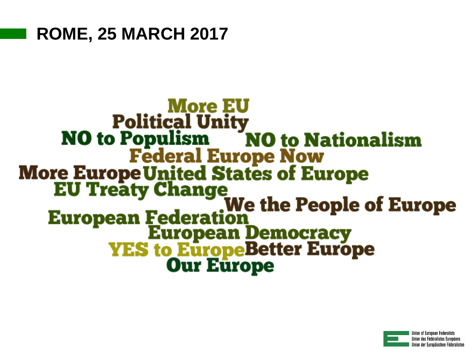# **More EU Political Unity NO** to Populism **NO to Nationalism Federal Europe Now More Europe United States of Europe EU Treaty Change EU Treaty Change<br>We the People of Europe<br>European Democracy<br>VES to EuropeBetter Europe<br>Our Europe**

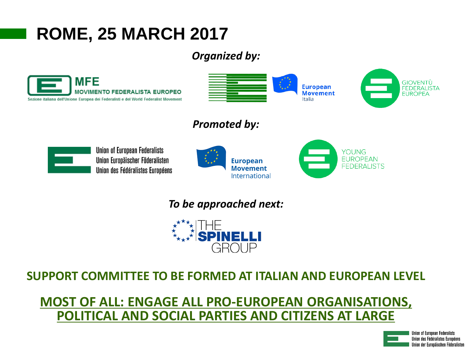### *Organized by:*





### *Promoted by:*



**Union of European Federalists** Union Europäischer Föderalisten Union des Fédéralistes Européens





#### *To be approached next:*



### **SUPPORT COMMITTEE TO BE FORMED AT ITALIAN AND EUROPEAN LEVEL**

### **MOST OF ALL: ENGAGE ALL PRO-EUROPEAN ORGANISATIONS, POLITICAL AND SOCIAL PARTIES AND CITIZENS AT LARGE**

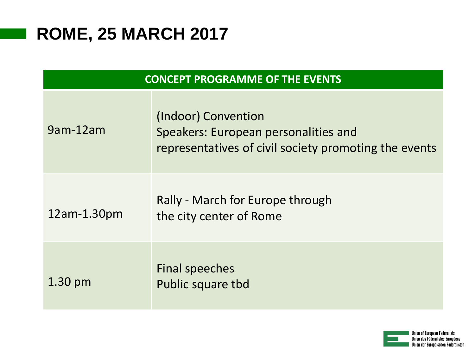| <b>CONCEPT PROGRAMME OF THE EVENTS</b> |                                                                                                                      |
|----------------------------------------|----------------------------------------------------------------------------------------------------------------------|
| 9am-12am                               | (Indoor) Convention<br>Speakers: European personalities and<br>representatives of civil society promoting the events |
| $12am-1.30pm$                          | Rally - March for Europe through<br>the city center of Rome                                                          |
| $1.30 \text{ pm}$                      | Final speeches<br>Public square tbd                                                                                  |

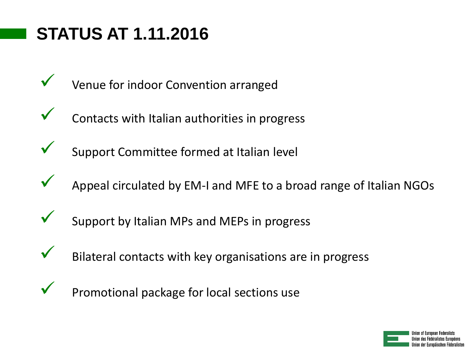## **STATUS AT 1.11.2016**

- Venue for indoor Convention arranged
- Contacts with Italian authorities in progress
- Support Committee formed at Italian level
- Appeal circulated by EM-I and MFE to a broad range of Italian NGOs
- Support by Italian MPs and MEPs in progress
- Bilateral contacts with key organisations are in progress
- 
- Promotional package for local sections use

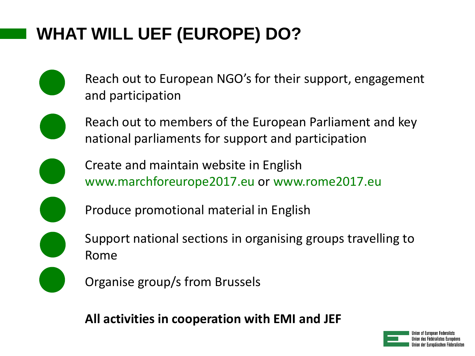# **WHAT WILL UEF (EUROPE) DO?**

- Reach out to European NGO's for their support, engagement and participation
- Reach out to members of the European Parliament and key national parliaments for support and participation
- Create and maintain website in English www.marchforeurope2017.eu or www.rome2017.eu
- Produce promotional material in English
- Support national sections in organising groups travelling to Rome
- Organise group/s from Brussels

**All activities in cooperation with EMI and JEF**

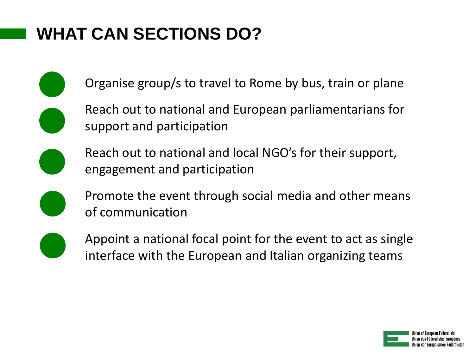## **WHAT CAN SECTIONS DO?**

Organise group/s to travel to Rome by bus, train or plane



Reach out to national and European parliamentarians for support and participation



Reach out to national and local NGO's for their support, engagement and participation



Promote the event through social media and other means of communication



Appoint a national focal point for the event to act as single interface with the European and Italian organizing teams

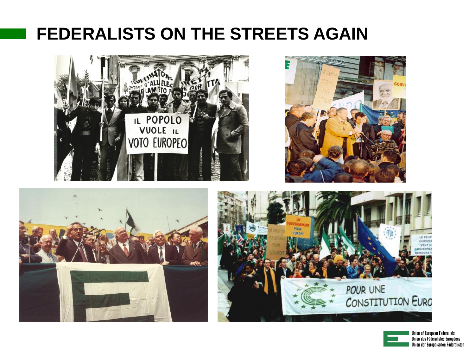### **FEDERALISTS ON THE STREETS AGAIN**